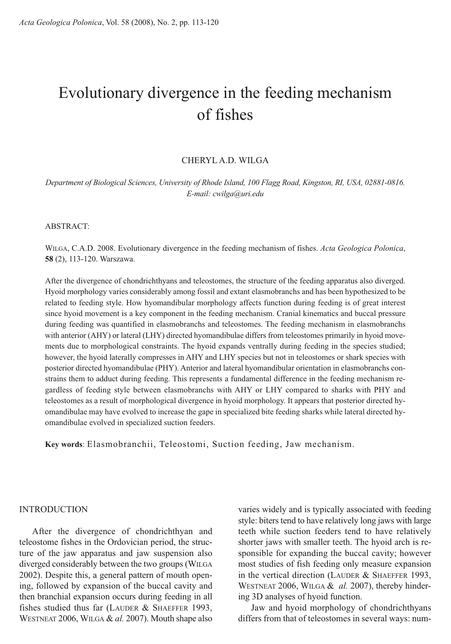# Evolutionary divergence in the feeding mechanism of fishes

## CHERYL A.D. WILGA

*Department of Biological Sciences, University of Rhode Island, 100 Flagg Road, Kingston, RI, USA, 02881-0816. E-mail: cwilga@uri.edu*

ABSTRACT:

WILGA, C.A.D. 2008. Evolutionary divergence in the feeding mechanism of fishes. *Acta Geologica Polonica*, **58** (2), 113-120. Warszawa.

After the divergence of chondrichthyans and teleostomes, the structure of the feeding apparatus also diverged. Hyoid morphology varies considerably among fossil and extant elasmobranchs and has been hypothesized to be related to feeding style. How hyomandibular morphology affects function during feeding is of great interest since hyoid movement is a key component in the feeding mechanism. Cranial kinematics and buccal pressure during feeding was quantified in elasmobranchs and teleostomes. The feeding mechanism in elasmobranchs with anterior (AHY) or lateral (LHY) directed hyomandibulae differs from teleostomes primarily in hyoid movements due to morphological constraints. The hyoid expands ventrally during feeding in the species studied; however, the hyoid laterally compresses in AHY and LHY species but not in teleostomes or shark species with posterior directed hyomandibulae (PHY). Anterior and lateral hyomandibular orientation in elasmobranchs constrains them to adduct during feeding. This represents a fundamental difference in the feeding mechanism regardless of feeding style between elasmobranchs with AHY or LHY compared to sharks with PHY and teleostomes as a result of morphological divergence in hyoid morphology. It appears that posterior directed hyomandibulae may have evolved to increase the gape in specialized bite feeding sharks while lateral directed hyomandibulae evolved in specialized suction feeders.

**Key words**: Elasmobranchii, Teleostomi, Suction feeding, Jaw mechanism.

#### INTRODUCTION

After the divergence of chondrichthyan and teleostome fishes in the Ordovician period, the structure of the jaw apparatus and jaw suspension also diverged considerably between the two groups (WILGA 2002). Despite this, a general pattern of mouth opening, followed by expansion of the buccal cavity and then branchial expansion occurs during feeding in all fishes studied thus far (LAUDER & SHAEFFER 1993, WESTNEAT 2006, WILGA & *al.* 2007). Mouth shape also

varies widely and is typically associated with feeding style: biters tend to have relatively long jaws with large teeth while suction feeders tend to have relatively shorter jaws with smaller teeth. The hyoid arch is responsible for expanding the buccal cavity; however most studies of fish feeding only measure expansion in the vertical direction (LAUDER & SHAEFFER 1993, WESTNEAT 2006, WILGA & *al.* 2007), thereby hindering 3D analyses of hyoid function.

Jaw and hyoid morphology of chondrichthyans differs from that of teleostomes in several ways: num-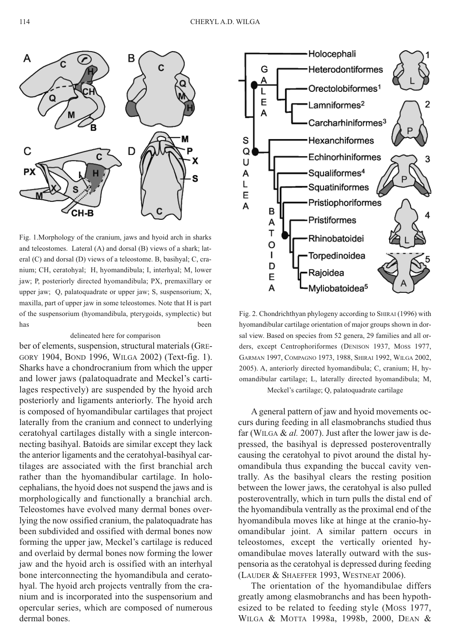

Fig. 1.Morphology of the cranium, jaws and hyoid arch in sharks and teleostomes. Lateral (A) and dorsal (B) views of a shark; lateral (C) and dorsal (D) views of a teleostome. B, basihyal; C, cranium; CH, ceratohyal; H, hyomandibula; I, interhyal; M, lower jaw; P, posteriorly directed hyomandibula; PX, premaxillary or upper jaw; Q, palatoquadrate or upper jaw; S, suspensorium; X, maxilla, part of upper jaw in some teleostomes. Note that H is part of the suspensorium (hyomandibula, pterygoids, symplectic) but has been

#### delineated here for comparison

ber of elements, suspension, structural materials (GRE-GORY 1904, BOND 1996, WILGA 2002) (Text-fig. 1). Sharks have a chondrocranium from which the upper and lower jaws (palatoquadrate and Meckel's cartilages respectively) are suspended by the hyoid arch posteriorly and ligaments anteriorly. The hyoid arch is composed of hyomandibular cartilages that project laterally from the cranium and connect to underlying ceratohyal cartilages distally with a single interconnecting basihyal. Batoids are similar except they lack the anterior ligaments and the ceratohyal-basihyal cartilages are associated with the first branchial arch rather than the hyomandibular cartilage. In holocephalians, the hyoid does not suspend the jaws and is morphologically and functionally a branchial arch. Teleostomes have evolved many dermal bones overlying the now ossified cranium, the palatoquadrate has been subdivided and ossified with dermal bones now forming the upper jaw, Meckel's cartilage is reduced and overlaid by dermal bones now forming the lower jaw and the hyoid arch is ossified with an interhyal bone interconnecting the hyomandibula and ceratohyal. The hyoid arch projects ventrally from the cranium and is incorporated into the suspensorium and opercular series, which are composed of numerous dermal bones.



Fig. 2. Chondrichthyan phylogeny according to SHIRAI (1996) with hyomandibular cartilage orientation of major groups shown in dorsal view. Based on species from 52 genera, 29 families and all orders, except Centrophoriformes (DENISON 1937, MOSS 1977, GARMAN 1997, COMPAGNO 1973, 1988, SHIRAI 1992, WILGA 2002, 2005). A, anteriorly directed hyomandibula; C, cranium; H, hyomandibular cartilage; L, laterally directed hyomandibula; M, Meckel's cartilage; Q, palatoquadrate cartilage

A general pattern of jaw and hyoid movements occurs during feeding in all elasmobranchs studied thus far (WILGA & *al.* 2007). Just after the lower jaw is depressed, the basihyal is depressed posteroventrally causing the ceratohyal to pivot around the distal hyomandibula thus expanding the buccal cavity ventrally. As the basihyal clears the resting position between the lower jaws, the ceratohyal is also pulled posteroventrally, which in turn pulls the distal end of the hyomandibula ventrally as the proximal end of the hyomandibula moves like at hinge at the cranio-hyomandibular joint. A similar pattern occurs in teleostomes, except the vertically oriented hyomandibulae moves laterally outward with the suspensoria as the ceratohyal is depressed during feeding (LAUDER & SHAEFFER 1993, WESTNEAT 2006).

The orientation of the hyomandibulae differs greatly among elasmobranchs and has been hypothesized to be related to feeding style (MOSS 1977, WILGA & MOTTA 1998a, 1998b, 2000, DEAN &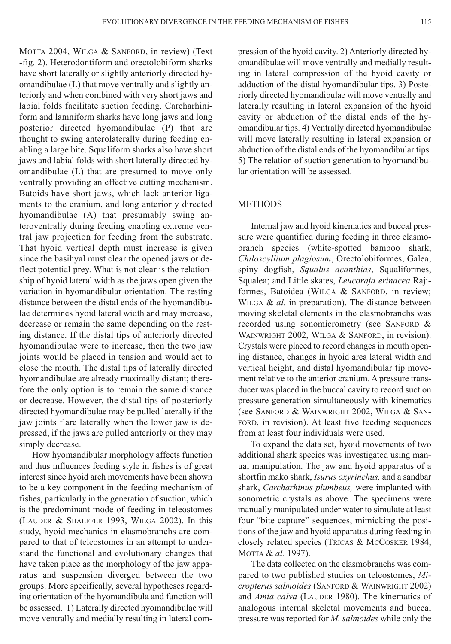MOTTA 2004, WILGA & SANFORD, in review) (Text -fig. 2). Heterodontiform and orectolobiform sharks have short laterally or slightly anteriorly directed hyomandibulae (L) that move ventrally and slightly anteriorly and when combined with very short jaws and labial folds facilitate suction feeding. Carcharhiniform and lamniform sharks have long jaws and long posterior directed hyomandibulae (P) that are thought to swing anterolaterally during feeding enabling a large bite. Squaliform sharks also have short jaws and labial folds with short laterally directed hyomandibulae (L) that are presumed to move only ventrally providing an effective cutting mechanism. Batoids have short jaws, which lack anterior ligaments to the cranium, and long anteriorly directed hyomandibulae (A) that presumably swing anteroventrally during feeding enabling extreme ventral jaw projection for feeding from the substrate. That hyoid vertical depth must increase is given since the basihyal must clear the opened jaws or deflect potential prey. What is not clear is the relationship of hyoid lateral width as the jaws open given the variation in hyomandibular orientation. The resting distance between the distal ends of the hyomandibulae determines hyoid lateral width and may increase, decrease or remain the same depending on the resting distance. If the distal tips of anteriorly directed hyomandibulae were to increase, then the two jaw joints would be placed in tension and would act to close the mouth. The distal tips of laterally directed hyomandibulae are already maximally distant; therefore the only option is to remain the same distance or decrease. However, the distal tips of posteriorly directed hyomandibulae may be pulled laterally if the jaw joints flare laterally when the lower jaw is depressed, if the jaws are pulled anteriorly or they may simply decrease.

How hyomandibular morphology affects function and thus influences feeding style in fishes is of great interest since hyoid arch movements have been shown to be a key component in the feeding mechanism of fishes, particularly in the generation of suction, which is the predominant mode of feeding in teleostomes (LAUDER & SHAEFFER 1993, WILGA 2002). In this study, hyoid mechanics in elasmobranchs are compared to that of teleostomes in an attempt to understand the functional and evolutionary changes that have taken place as the morphology of the jaw apparatus and suspension diverged between the two groups. More specifically, several hypotheses regarding orientation of the hyomandibula and function will be assessed. 1) Laterally directed hyomandibulae will move ventrally and medially resulting in lateral compression of the hyoid cavity. 2) Anteriorly directed hyomandibulae will move ventrally and medially resulting in lateral compression of the hyoid cavity or adduction of the distal hyomandibular tips. 3) Posteriorly directed hyomandibulae will move ventrally and laterally resulting in lateral expansion of the hyoid cavity or abduction of the distal ends of the hyomandibular tips. 4) Ventrally directed hyomandibulae will move laterally resulting in lateral expansion or abduction of the distal ends of the hyomandibular tips. 5) The relation of suction generation to hyomandibular orientation will be assessed.

## **METHODS**

Internal jaw and hyoid kinematics and buccal pressure were quantified during feeding in three elasmobranch species (white-spotted bamboo shark, *Chiloscyllium plagiosum*, Orectolobiformes, Galea; spiny dogfish, *Squalus acanthias*, Squaliformes, Squalea; and Little skates, *Leucoraja erinacea* Rajiformes, Batoidea (WILGA & SANFORD, in review; WILGA & *al.* in preparation). The distance between moving skeletal elements in the elasmobranchs was recorded using sonomicrometry (see SANFORD & WAINWRIGHT 2002, WILGA & SANFORD, in revision). Crystals were placed to record changes in mouth opening distance, changes in hyoid area lateral width and vertical height, and distal hyomandibular tip movement relative to the anterior cranium. A pressure transducer was placed in the buccal cavity to record suction pressure generation simultaneously with kinematics (see SANFORD & WAINWRIGHT 2002, WILGA & SAN-FORD, in revision). At least five feeding sequences from at least four individuals were used.

To expand the data set, hyoid movements of two additional shark species was investigated using manual manipulation. The jaw and hyoid apparatus of a shortfin mako shark, *Isurus oxyrinchus,* and a sandbar shark, *Carcharhinus plumbeus,* were implanted with sonometric crystals as above. The specimens were manually manipulated under water to simulate at least four "bite capture" sequences, mimicking the positions of the jaw and hyoid apparatus during feeding in closely related species (TRICAS & MCCOSKER 1984, MOTTA & *al.* 1997).

The data collected on the elasmobranchs was compared to two published studies on teleostomes, *Micropterus salmoides* (SANFORD & WAINWRIGHT 2002) and *Amia calva* (LAUDER 1980). The kinematics of analogous internal skeletal movements and buccal pressure was reported for *M. salmoides* while only the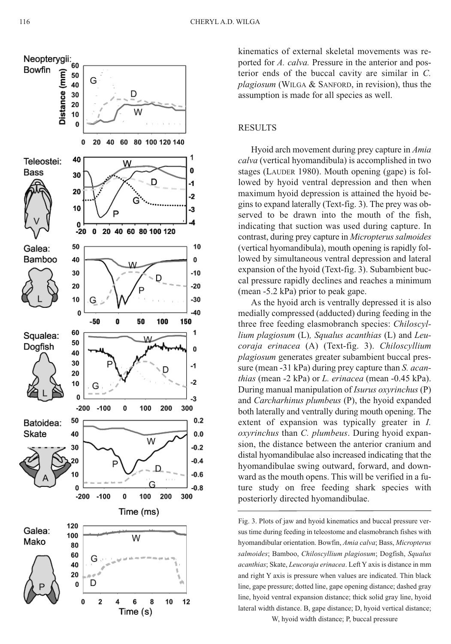

kinematics of external skeletal movements was reported for A. calva. Pressure in the anterior and posterior ends of the buccal cavity are similar in C. plagiosum (WILGA & SANFORD, in revision), thus the assumption is made for all species as well.

## **RESULTS**

Hyoid arch movement during prey capture in *Amia* calva (vertical hyomandibula) is accomplished in two stages (LAUDER 1980). Mouth opening (gape) is followed by hyoid ventral depression and then when maximum hyoid depression is attained the hyoid begins to expand laterally (Text-fig. 3). The prey was observed to be drawn into the mouth of the fish, indicating that suction was used during capture. In contrast, during prey capture in Micropterus salmoides (vertical hyomandibula), mouth opening is rapidly followed by simultaneous ventral depression and lateral expansion of the hyoid (Text-fig. 3). Subambient buccal pressure rapidly declines and reaches a minimum (mean -5.2 kPa) prior to peak gape.

As the hyoid arch is ventrally depressed it is also medially compressed (adducted) during feeding in the three free feeding elasmobranch species: *Chiloscyl*lium plagiosum (L), Squalus acanthias (L) and Leucoraja erinacea (A) (Text-fig. 3). Chiloscyllium plagiosum generates greater subambient buccal pressure (mean -31 kPa) during prey capture than *S. acanthias* (mean -2 kPa) or *L. erinacea* (mean -0.45 kPa). During manual manipulation of *Isurus oxyrinchus* (P) and *Carcharhinus plumbeus* (P), the hyoid expanded both laterally and ventrally during mouth opening. The extent of expansion was typically greater in *I*. oxyrinchus than C. plumbeus. During hyoid expansion, the distance between the anterior cranium and distal hyomandibulae also increased indicating that the hyomandibulae swing outward, forward, and downward as the mouth opens. This will be verified in a future study on free feeding shark species with posteriorly directed hyomandibulae.

Fig. 3. Plots of jaw and hyoid kinematics and buccal pressure versus time during feeding in teleostome and elasmobranch fishes with hyomandibular orientation. Bowfin, Amia calva; Bass, Micropterus salmoides; Bamboo, Chiloscyllium plagiosum; Dogfish, Squalus acanthias; Skate, Leucoraja erinacea. Left Y axis is distance in mm and right Y axis is pressure when values are indicated. Thin black line, gape pressure; dotted line, gape opening distance; dashed gray line, hyoid ventral expansion distance; thick solid gray line, hyoid lateral width distance. B, gape distance; D, hyoid vertical distance;

W, hyoid width distance; P, buccal pressure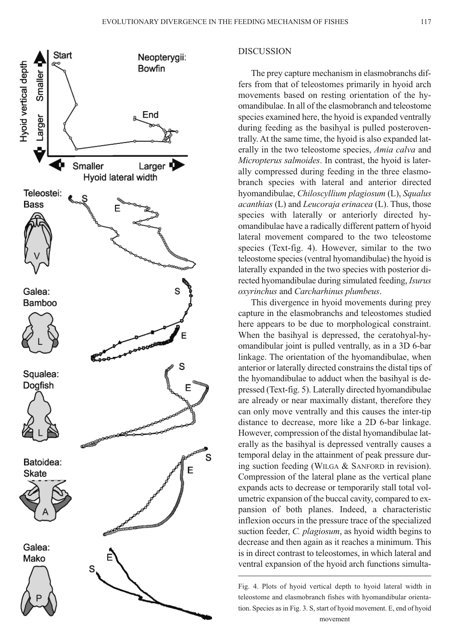

#### DISCUSSION

The prey capture mechanism in elasmobranchs differs from that of teleostomes primarily in hyoid arch movements based on resting orientation of the hyomandibulae. In all of the elasmobranch and teleostome species examined here, the hyoid is expanded ventrally during feeding as the basihyal is pulled posteroventrally. At the same time, the hyoid is also expanded laterally in the two teleostome species, *Amia calva* and *Micropterus salmoides*. In contrast, the hyoid is laterally compressed during feeding in the three elasmobranch species with lateral and anterior directed hyomandibulae, *Chiloscyllium plagiosum* (L), *Squalus acanthias* (L) and *Leucoraja erinacea* (L). Thus, those species with laterally or anteriorly directed hyomandibulae have a radically different pattern of hyoid lateral movement compared to the two teleostome species (Text-fig. 4). However, similar to the two teleostome species(ventral hyomandibulae) the hyoid is laterally expanded in the two species with posterior directed hyomandibulae during simulated feeding, *Isurus oxyrinchus* and *Carcharhinus plumbeus*.

This divergence in hyoid movements during prey capture in the elasmobranchs and teleostomes studied here appears to be due to morphological constraint. When the basihyal is depressed, the ceratohyal-hyomandibular joint is pulled ventrally, as in a 3D 6-bar linkage. The orientation of the hyomandibulae, when anterior or laterally directed constrains the distal tips of the hyomandibulae to adduct when the basihyal is depressed (Text-fig. 5). Laterally directed hyomandibulae are already or near maximally distant, therefore they can only move ventrally and this causes the inter-tip distance to decrease, more like a 2D 6-bar linkage. However, compression of the distal hyomandibulae laterally as the basihyal is depressed ventrally causes a temporal delay in the attainment of peak pressure during suction feeding (WILGA & SANFORD in revision). Compression of the lateral plane as the vertical plane expands acts to decrease or temporarily stall total volumetric expansion of the buccal cavity, compared to expansion of both planes. Indeed, a characteristic inflexion occurs in the pressure trace of the specialized suction feeder, *C. plagiosum*, as hyoid width begins to decrease and then again as it reaches a minimum. This is in direct contrast to teleostomes, in which lateral and ventral expansion of the hyoid arch functions simulta-

Fig. 4. Plots of hyoid vertical depth to hyoid lateral width in teleostome and elasmobranch fishes with hyomandibular orientation. Species as in Fig. 3. S, start of hyoid movement. E, end of hyoid movement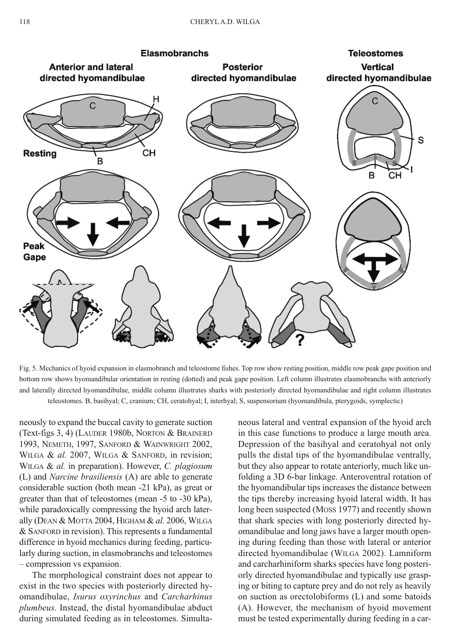

Fig. 5. Mechanics of hyoid expansion in elasmobranch and teleostome fishes. Top row show resting position, middle row peak gape position and bottom row shows hyomandibular orientation in resting (dotted) and peak gape position. Left column illustrates elasmobranchs with anteriorly and laterally directed hyomandibulae, middle column illustrates sharks with posteriorly directed hyomandibulae and right column illustrates teleostomes. B, basihyal; C, cranium; CH, ceratohyal; I, interhyal; S, suspensorium (hyomandibula, pterygoids, symplectic)

neously to expand the buccal cavity to generate suction (Text-figs 3, 4) (LAUDER 1980b, NORTON & BRAINERD 1993, NEMETH, 1997, SANFORD & WAINWRIGHT 2002, WILGA & al. 2007, WILGA & SANFORD, in revision; WILGA & *al.* in preparation). However, *C. plagiosum* (L) and *Narcine brasiliensis* (A) are able to generate considerable suction (both mean -21 kPa), as great or greater than that of teleostomes (mean -5 to -30 kPa), while paradoxically compressing the hyoid arch laterally (DEAN & MOTTA 2004, HIGHAM & *al.* 2006, WILGA & SANFORD in revision). This represents a fundamental difference in hyoid mechanics during feeding, particularly during suction, in elasmobranchs and teleostomes – compression vs expansion.

The morphological constraint does not appear to exist in the two species with posteriorly directed hyomandibulae, *Isurus oxyrinchus* and *Carcharhinus plumbeus*. Instead, the distal hyomandibulae abduct during simulated feeding as in teleostomes. Simultaneous lateral and ventral expansion of the hyoid arch in this case functions to produce a large mouth area. Depression of the basihyal and ceratohyal not only pulls the distal tips of the hyomandibulae ventrally, but they also appear to rotate anteriorly, much like unfolding a 3D 6-bar linkage. Anteroventral rotation of the hyomandibular tips increases the distance between the tips thereby increasing hyoid lateral width. It has long been suspected (MOSS 1977) and recently shown that shark species with long posteriorly directed hyomandibulae and long jaws have a larger mouth opening during feeding than those with lateral or anterior directed hyomandibulae (WILGA 2002). Lamniform and carcharhiniform sharks species have long posteriorly directed hyomandibulae and typically use grasping or biting to capture prey and do not rely as heavily on suction as orectolobiforms (L) and some batoids (A). However, the mechanism of hyoid movement must be tested experimentally during feeding in a car-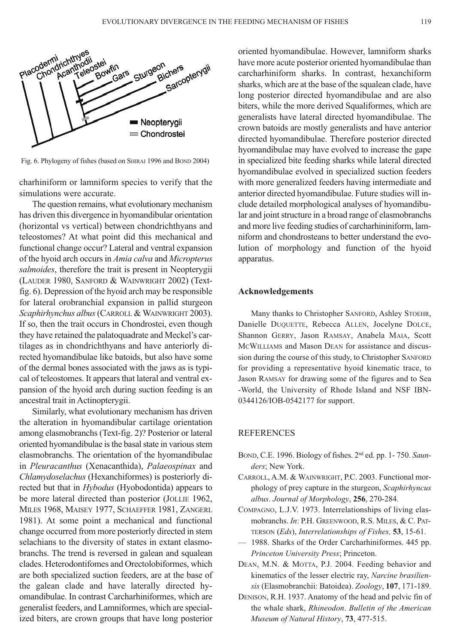

Fig. 6. Phylogeny of fishes (based on SHIRAI 1996 and BOND 2004)

charhiniform or lamniform species to verify that the simulations were accurate.

The question remains, what evolutionary mechanism has driven this divergence in hyomandibular orientation (horizontal vs vertical) between chondrichthyans and teleostomes? At what point did this mechanical and functional change occur? Lateral and ventral expansion of the hyoid arch occursin *Amia calva* and *Micropterus salmoides*, therefore the trait is present in Neopterygii (LAUDER 1980, SANFORD & WAINWRIGHT 2002) (Textfig. 6). Depression of the hyoid arch may be responsible for lateral orobranchial expansion in pallid sturgeon *Scaphirhynchus albus*(CARROLL & WAINWRIGHT 2003). If so, then the trait occurs in Chondrostei, even though they have retained the palatoquadrate and Meckel's cartilages as in chondrichthyans and have anteriorly directed hyomandibulae like batoids, but also have some of the dermal bones associated with the jaws as is typical of teleostomes. It appears that lateral and ventral expansion of the hyoid arch during suction feeding is an ancestral trait in Actinopterygii.

Similarly, what evolutionary mechanism has driven the alteration in hyomandibular cartilage orientation among elasmobranchs (Text-fig. 2)? Posterior or lateral oriented hyomandibulae is the basal state in various stem elasmobranchs. The orientation of the hyomandibulae in *Pleuracanthus* (Xenacanthida), *Palaeospinax* and *Chlamydoselachus* (Hexanchiformes) is posteriorly directed but that in *Hybodus* (Hyobodontida) appears to be more lateral directed than posterior (JOLLIE 1962, MILES 1968, MAISEY 1977, SCHAEFFER 1981, ZANGERL 1981). At some point a mechanical and functional change occurred from more posteriorly directed in stem selachians to the diversity of states in extant elasmobranchs. The trend is reversed in galean and squalean clades. Heterodontifomes and Orectolobiformes, which are both specialized suction feeders, are at the base of the galean clade and have laterally directed hyomandibulae. In contrast Carcharhiniformes, which are generalist feeders, and Lamniformes, which are specialized biters, are crown groups that have long posterior

oriented hyomandibulae. However, lamniform sharks have more acute posterior oriented hyomandibulae than carcharhiniform sharks. In contrast, hexanchiform sharks, which are at the base of the squalean clade, have long posterior directed hyomandibulae and are also biters, while the more derived Squaliformes, which are generalists have lateral directed hyomandibulae. The crown batoids are mostly generalists and have anterior directed hyomandibulae. Therefore posterior directed hyomandibulae may have evolved to increase the gape in specialized bite feeding sharks while lateral directed hyomandibulae evolved in specialized suction feeders with more generalized feeders having intermediate and anterior directed hyomandibulae. Future studies will include detailed morphological analyses of hyomandibular and joint structure in a broad range of elasmobranchs and more live feeding studies of carcharhininiform, lamniform and chondrosteans to better understand the evolution of morphology and function of the hyoid apparatus.

#### **Acknowledgements**

Many thanks to Christopher SANFORD, Ashley STOEHR, Danielle DUQUETTE, Rebecca ALLEN, Jocelyne DOLCE, Shannon GERRY, Jason RAMSAY, Anabela MAIA, Scott MCWILLIAMS and Mason DEAN for assistance and discussion during the course of this study, to Christopher SANFORD for providing a representative hyoid kinematic trace, to Jason RAMSAY for drawing some of the figures and to Sea -World, the University of Rhode Island and NSF IBN-0344126/IOB-0542177 for support.

## REFERENCES

- BOND, C.E. 1996. Biology of fishes. 2nd ed. pp. 1- 750. *Saunders*; New York.
- CARROLL, A.M. & WAINWRIGHT, P.C. 2003. Functional morphology of prey capture in the sturgeon, *Scaphirhyncus albus*. *Journal of Morphology*, **256**, 270-284.
- COMPAGNO, L.J.V. 1973. Interrelationships of living elasmobranchs. *In*: P.H. GREENWOOD, R.S. MILES, & C. PAT-TERSON (*Eds*), *Interrelationships of Fishes,* **53**, 15-61.
- 1988. Sharks of the Order Carcharhiniformes. 445 pp. *Princeton University Press*; Princeton.
- DEAN, M.N. & MOTTA, P.J. 2004. Feeding behavior and kinematics of the lesser electric ray, *Narcine brasiliensis* (Elasmobranchii: Batoidea). *Zoology*, **107**, 171-189.
- DENISON, R.H. 1937. Anatomy of the head and pelvic fin of the whale shark, *Rhineodon*. *Bulletin of the American Museum of Natural History*, **73**, 477-515.